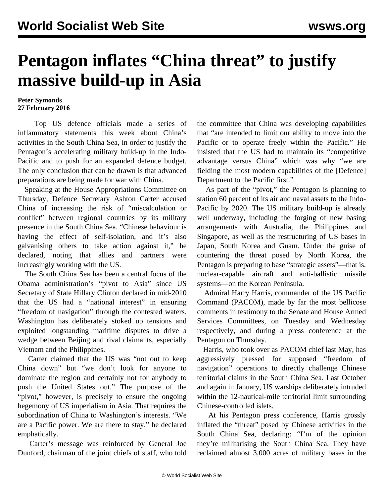## **Pentagon inflates "China threat" to justify massive build-up in Asia**

## **Peter Symonds 27 February 2016**

 Top US defence officials made a series of inflammatory statements this week about China's activities in the South China Sea, in order to justify the Pentagon's accelerating military build-up in the Indo-Pacific and to push for an expanded defence budget. The only conclusion that can be drawn is that advanced preparations are being made for war with China.

 Speaking at the House Appropriations Committee on Thursday, Defence Secretary Ashton Carter accused China of increasing the risk of "miscalculation or conflict" between regional countries by its military presence in the South China Sea. "Chinese behaviour is having the effect of self-isolation, and it's also galvanising others to take action against it," he declared, noting that allies and partners were increasingly working with the US.

 The South China Sea has been a central focus of the Obama administration's "pivot to Asia" since US Secretary of State Hillary Clinton declared in mid-2010 that the US had a "national interest" in ensuring "freedom of navigation" through the contested waters. Washington has deliberately stoked up tensions and exploited longstanding maritime disputes to drive a wedge between Beijing and rival claimants, especially Vietnam and the Philippines.

 Carter claimed that the US was "not out to keep China down" but "we don't look for anyone to dominate the region and certainly not for anybody to push the United States out." The purpose of the "pivot," however, is precisely to ensure the ongoing hegemony of US imperialism in Asia. That requires the subordination of China to Washington's interests. "We are a Pacific power. We are there to stay," he declared emphatically.

 Carter's message was reinforced by General Joe Dunford, chairman of the joint chiefs of staff, who told the committee that China was developing capabilities that "are intended to limit our ability to move into the Pacific or to operate freely within the Pacific." He insisted that the US had to maintain its "competitive advantage versus China" which was why "we are fielding the most modern capabilities of the [Defence] Department to the Pacific first."

 As part of the "pivot," the Pentagon is planning to station 60 percent of its air and naval assets to the Indo-Pacific by 2020. The US military build-up is already well underway, including the forging of new basing arrangements with Australia, the Philippines and Singapore, as well as the restructuring of US bases in Japan, South Korea and Guam. Under the guise of countering the threat posed by North Korea, the Pentagon is preparing to base "strategic assets"—that is, nuclear-capable aircraft and anti-ballistic missile systems—on the Korean Peninsula.

 Admiral Harry Harris, commander of the US Pacific Command (PACOM), made by far the most bellicose comments in testimony to the Senate and House Armed Services Committees, on Tuesday and Wednesday respectively, and during a press conference at the Pentagon on Thursday.

 Harris, who took over as PACOM chief last May, has aggressively pressed for supposed "freedom of navigation" operations to directly challenge Chinese territorial claims in the South China Sea. Last October and again in January, US warships deliberately intruded within the 12-nautical-mile territorial limit surrounding Chinese-controlled islets.

 At his Pentagon press conference, Harris grossly inflated the "threat" posed by Chinese activities in the South China Sea, declaring: "I'm of the opinion they're militarising the South China Sea. They have reclaimed almost 3,000 acres of military bases in the